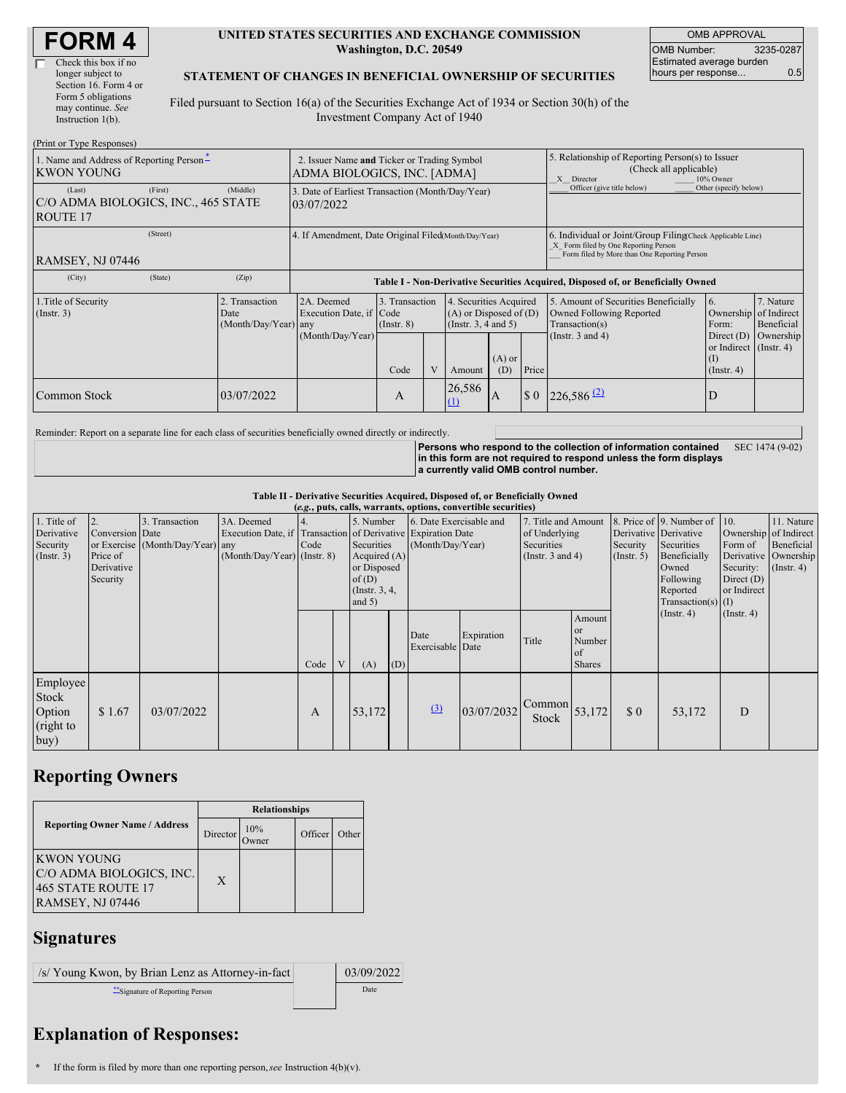| <b>FORM 4</b> |
|---------------|
|---------------|

| Check this box if no  |
|-----------------------|
| longer subject to     |
| Section 16. Form 4 or |
| Form 5 obligations    |
| may continue. See     |
| Instruction 1(b).     |
|                       |

#### **UNITED STATES SECURITIES AND EXCHANGE COMMISSION Washington, D.C. 20549**

OMB APPROVAL OMB Number: 3235-0287 Estimated average burden hours per response... 0.5

#### **STATEMENT OF CHANGES IN BENEFICIAL OWNERSHIP OF SECURITIES**

Filed pursuant to Section 16(a) of the Securities Exchange Act of 1934 or Section 30(h) of the Investment Company Act of 1940

| (Print or Type Responses)                                                   |                                                                            |                                                                                  |                                           |                                                                                                           |                    |                                                                                                                                                    |                                                                                                             |                                                                                                                      |                                      |  |
|-----------------------------------------------------------------------------|----------------------------------------------------------------------------|----------------------------------------------------------------------------------|-------------------------------------------|-----------------------------------------------------------------------------------------------------------|--------------------|----------------------------------------------------------------------------------------------------------------------------------------------------|-------------------------------------------------------------------------------------------------------------|----------------------------------------------------------------------------------------------------------------------|--------------------------------------|--|
| 1. Name and Address of Reporting Person-<br><b>KWON YOUNG</b>               | 2. Issuer Name and Ticker or Trading Symbol<br>ADMA BIOLOGICS, INC. [ADMA] |                                                                                  |                                           |                                                                                                           |                    |                                                                                                                                                    | 5. Relationship of Reporting Person(s) to Issuer<br>(Check all applicable)<br>X Director<br>10% Owner       |                                                                                                                      |                                      |  |
| (First)<br>(Last)<br>C/O ADMA BIOLOGICS, INC., 465 STATE<br><b>ROUTE 17</b> | (Middle)                                                                   | 3. Date of Earliest Transaction (Month/Day/Year)<br>03/07/2022                   |                                           |                                                                                                           |                    |                                                                                                                                                    | Officer (give title below)                                                                                  | Other (specify below)                                                                                                |                                      |  |
| (Street)<br>RAMSEY, NJ 07446                                                | 4. If Amendment, Date Original Filed(Month/Day/Year)                       |                                                                                  |                                           |                                                                                                           |                    | 6. Individual or Joint/Group Filing(Check Applicable Line)<br>X Form filed by One Reporting Person<br>Form filed by More than One Reporting Person |                                                                                                             |                                                                                                                      |                                      |  |
| (State)<br>(City)                                                           | (Zip)                                                                      | Table I - Non-Derivative Securities Acquired, Disposed of, or Beneficially Owned |                                           |                                                                                                           |                    |                                                                                                                                                    |                                                                                                             |                                                                                                                      |                                      |  |
| 1. Title of Security<br>$($ Instr. 3 $)$                                    | 2. Transaction<br>Date<br>(Month/Day/Year) any                             | 2A. Deemed<br>Execution Date, if Code<br>(Month/Day/Year)                        | 3. Transaction<br>$($ Instr. $8)$<br>Code | 4. Securities Acquired<br>$(A)$ or Disposed of $(D)$<br>(Insert. 3, 4 and 5)<br>$(A)$ or<br>(D)<br>Amount |                    | Price                                                                                                                                              | 5. Amount of Securities Beneficially<br>Owned Following Reported<br>Transaction(s)<br>(Instr. $3$ and $4$ ) | <sup>6.</sup><br>Ownership of Indirect<br>Form:<br>Direct $(D)$<br>or Indirect (Instr. 4)<br>(1)<br>$($ Instr. 4 $)$ | 7. Nature<br>Beneficial<br>Ownership |  |
| Common Stock                                                                | 03/07/2022                                                                 |                                                                                  | A                                         |                                                                                                           | 26,586<br>$\Omega$ | I A                                                                                                                                                | $\boldsymbol{\mathsf{S}}$ 0                                                                                 | $226,586$ <sup>(2)</sup>                                                                                             | D                                    |  |

Reminder: Report on a separate line for each class of securities beneficially owned directly or indirectly.

**Persons who respond to the collection of information contained in this form are not required to respond unless the form displays a currently valid OMB control number.** SEC 1474 (9-02)

**Table II - Derivative Securities Acquired, Disposed of, or Beneficially Owned**

| (e.g., puts, calls, warrants, options, convertible securities) |                                                       |                                                    |                                                                                                           |      |  |                                                                                                  |     |                                             |            |                                                                             |                                                      |                                                                                                                                              |                      |                                                                                     |                                                                   |
|----------------------------------------------------------------|-------------------------------------------------------|----------------------------------------------------|-----------------------------------------------------------------------------------------------------------|------|--|--------------------------------------------------------------------------------------------------|-----|---------------------------------------------|------------|-----------------------------------------------------------------------------|------------------------------------------------------|----------------------------------------------------------------------------------------------------------------------------------------------|----------------------|-------------------------------------------------------------------------------------|-------------------------------------------------------------------|
| 1. Title of<br>Derivative<br>Security<br>$($ Instr. 3 $)$      | Conversion Date<br>Price of<br>Derivative<br>Security | 3. Transaction<br>or Exercise (Month/Day/Year) any | 3A. Deemed<br>Execution Date, if Transaction of Derivative Expiration Date<br>(Month/Day/Year) (Instr. 8) | Code |  | 5. Number<br>Securities<br>Acquired $(A)$<br>or Disposed<br>of(D)<br>(Instr. $3, 4,$<br>and $5)$ |     | 6. Date Exercisable and<br>(Month/Day/Year) |            | 7. Title and Amount<br>of Underlying<br>Securities<br>(Instr. $3$ and $4$ ) |                                                      | 8. Price of 9. Number of<br>Derivative Derivative<br>Security<br>Securities<br>Beneficially<br>(Insert. 5)<br>Owned<br>Following<br>Reported | $Transaction(s)$ (I) | 10.<br>Ownership of Indirect<br>Form of<br>Security:<br>Direct $(D)$<br>or Indirect | 11. Nature<br>Beneficial<br>Derivative Ownership<br>$($ Instr. 4) |
|                                                                |                                                       |                                                    |                                                                                                           | Code |  | (A)                                                                                              | (D) | Date<br>Exercisable Date                    | Expiration | Title                                                                       | Amount<br><b>or</b><br>Number<br>of<br><b>Shares</b> |                                                                                                                                              | (Insert. 4)          | $($ Instr. 4 $)$                                                                    |                                                                   |
| Employee<br>Stock<br>Option<br>(right to<br>buy)               | \$1.67                                                | 03/07/2022                                         |                                                                                                           | A    |  | 53,172                                                                                           |     | (3)                                         | 03/07/2032 | Common<br>Stock                                                             | 53,172                                               | $\Omega$                                                                                                                                     | 53,172               | D                                                                                   |                                                                   |

## **Reporting Owners**

|                                                                                         | <b>Relationships</b> |                     |         |       |  |  |  |  |
|-----------------------------------------------------------------------------------------|----------------------|---------------------|---------|-------|--|--|--|--|
| <b>Reporting Owner Name / Address</b>                                                   | Director             | 10%<br><b>Twner</b> | Officer | Other |  |  |  |  |
| <b>KWON YOUNG</b><br>C/O ADMA BIOLOGICS, INC.<br>465 STATE ROUTE 17<br>RAMSEY, NJ 07446 | X                    |                     |         |       |  |  |  |  |

## **Signatures**

| /s/ Young Kwon, by Brian Lenz as Attorney-in-fact | 03/09/2022 |
|---------------------------------------------------|------------|
| Signature of Reporting Person                     | Date       |

# **Explanation of Responses:**

**\*** If the form is filed by more than one reporting person,*see* Instruction 4(b)(v).